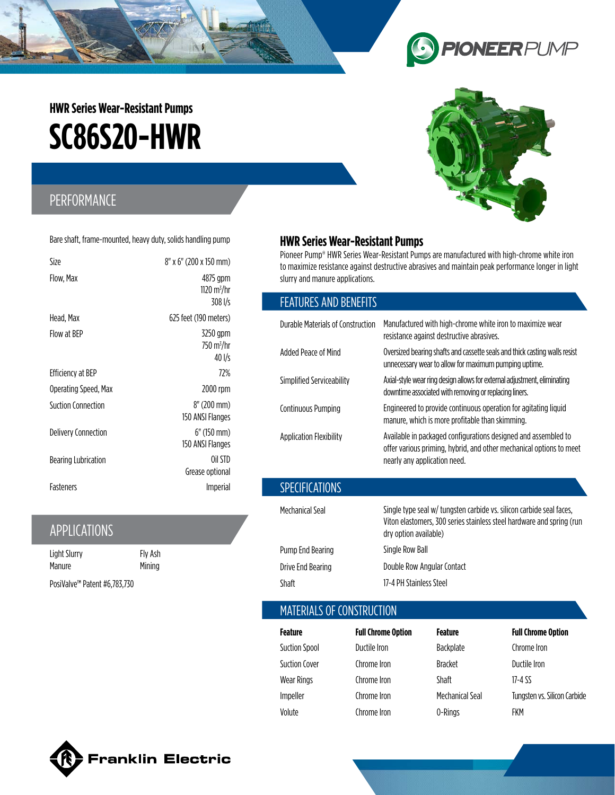# **SC86S20-HWR HWR Series Wear-Resistant Pumps**

# PERFORMANCE

Bare shaft, frame-mounted, heavy duty, solids handling pump

| Size                      | 8" x 6" (200 x 150 mm)                            |
|---------------------------|---------------------------------------------------|
| Flow, Max                 | 4875 gpm<br>1120 m <sup>3</sup> /hr<br>$308$ I/s  |
| Head, Max                 | 625 feet (190 meters)                             |
| Flow at BEP               | 3250 gpm<br>$750 \text{ m}^3/\text{hr}$<br>40 I/s |
| Efficiency at BEP         | 72%                                               |
| Operating Speed, Max      | 2000 rpm                                          |
| <b>Suction Connection</b> | 8" (200 mm)<br>150 ANSI Flanges                   |
| Delivery Connection       | $6''$ (150 mm)<br>150 ANSI Flanges                |
| Bearing Lubrication       | Oil STD<br>Grease optional                        |
| Fasteners                 | <i>Imperial</i>                                   |

## APPLICATIONS

| Light Slurry                             | Fly Ash |
|------------------------------------------|---------|
| Manure                                   | Mining  |
| PosiValve <sup>™</sup> Patent #6,783,730 |         |

## **HWR Series Wear-Resistant Pumps**

Pioneer Pump® HWR Series Wear-Resistant Pumps are manufactured with high-chrome white iron to maximize resistance against destructive abrasives and maintain peak performance longer in light slurry and manure applications.

### FEATURES AND BENEFITS

| Durable Materials of Construction | Manufactured with high-chrome white iron to maximize wear<br>resistance against destructive abrasives.                                                                 |
|-----------------------------------|------------------------------------------------------------------------------------------------------------------------------------------------------------------------|
| Added Peace of Mind               | Oversized bearing shafts and cassette seals and thick casting walls resist<br>unnecessary wear to allow for maximum pumping uptime.                                    |
| Simplified Serviceability         | Axial-style wear ring design allows for external adjustment, eliminating<br>downtime associated with removing or replacing liners.                                     |
| Continuous Pumping                | Engineered to provide continuous operation for agitating liquid<br>manure, which is more profitable than skimming.                                                     |
| <b>Application Flexibility</b>    | Available in packaged configurations designed and assembled to<br>offer various priming, hybrid, and other mechanical options to meet<br>nearly any application need.  |
| <b>SPECIFICATIONS</b>             |                                                                                                                                                                        |
| Mechanical Seal                   | Single type seal w/ tungsten carbide vs. silicon carbide seal faces,<br>Viton elastomers, 300 series stainless steel hardware and spring (run<br>dry option available) |
| Pump End Bearing                  | Single Row Ball                                                                                                                                                        |
| Drive End Bearing                 | Double Row Angular Contact                                                                                                                                             |

## MATERIALS OF CONSTRUCTION

Shaft 17-4 PH Stainless Steel

| Feature              | <b>Full Chrome Option</b> | Feature         | <b>Full Chrome Option</b>    |
|----------------------|---------------------------|-----------------|------------------------------|
| <b>Suction Spool</b> | Ductile Iron              | Backplate       | Chrome Iron                  |
| <b>Suction Cover</b> | Chrome Iron               | <b>Bracket</b>  | Ductile Iron                 |
| <b>Wear Rings</b>    | Chrome Iron               | <b>Shaft</b>    | 17-4 SS                      |
| Impeller             | Chrome Iron               | Mechanical Seal | Tungsten vs. Silicon Carbide |
| Volute               | Chrome Iron               | 0-Rings         | FKM                          |